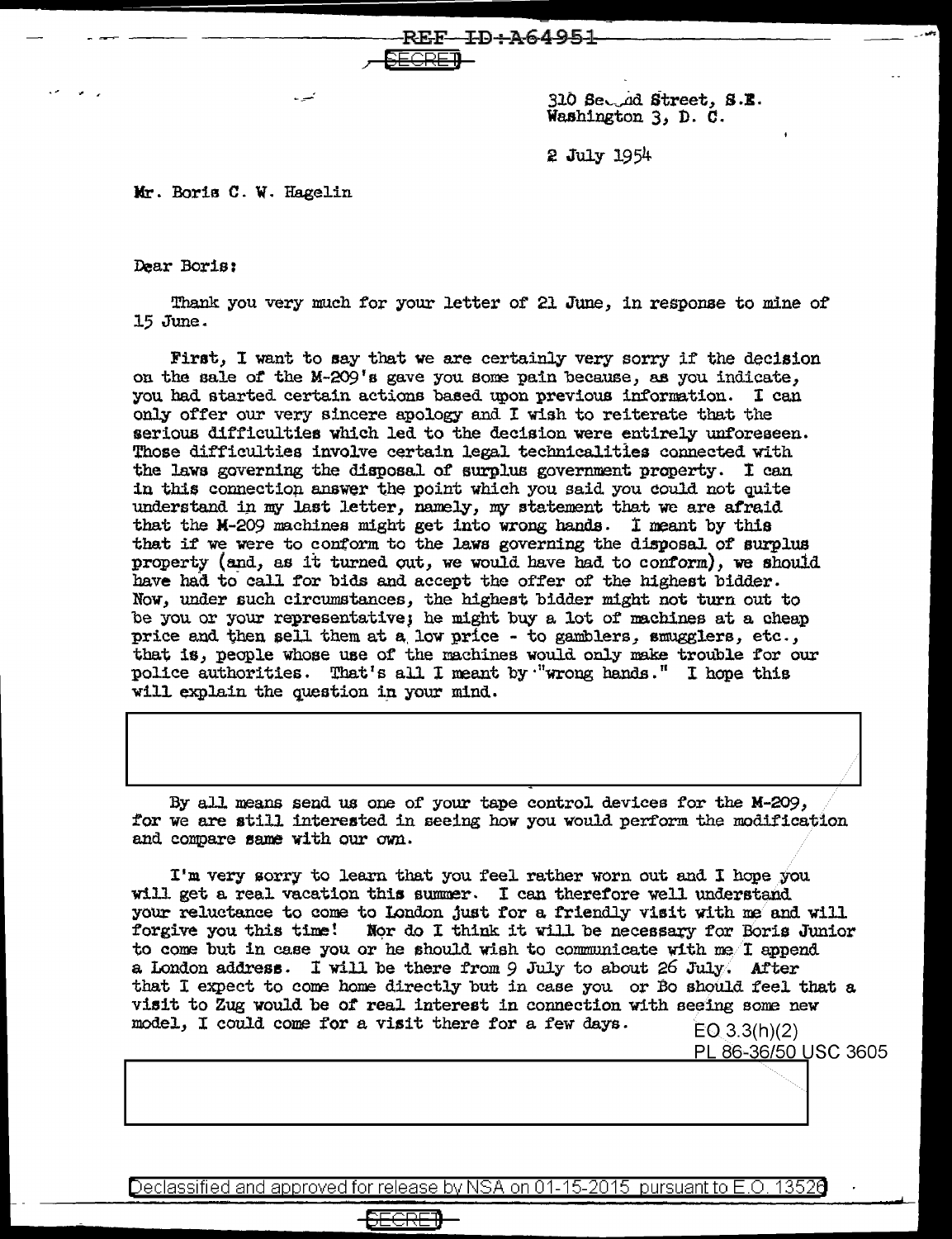$310$  Sec.  $d$  Street, S.E. Washington 3, D. *c.* 

2 July 1954

Mr. Boris C. W. Hagelin

Dear Boris:

Thank you very much for your letter of 21 June, in response to mine of 15 June.

 $REF-FD+A64951$ 

<del>, <u>SECRE</u>I)</del>

First, I want to say that we are certainly very sorry if the decision on the sale of the M-209's gave you some pain because, as you indicate, you had started certain actions based upon previous information. I can only offer our very sincere apology and I wish to reiterate that the serious difficulties which led to the decision were entirely unforeseen. Those difficulties involve certain legal technicalities connected with the laws governing the disposal of surplus government property. I can in this connection answer the point which you said you could not quite understand in my last letter, namely, my statement that we are afraid that the M-209 machines might get into wrong hands. I neant by this that if we were to conform to the laws governing the disposal of surplus property (and, as it turned out, we would have had to conform), we should have had to call for bids and accept the offer of the highest bidder. Now, under such circumstances, the highest bidder might not turn out to be you or your representative; he might buy a lot of machines at a cheap price and then sell them at a low price - to gamblers, smugglers, etc., that is, people whose use of the machines would only make trouble for our police authorities. That's all I meant by "wrong hands." I hope this will explain the question in your mind.

By all means send us one of your tape control devices for the M-209, for we are still interested in seeing how you would perform the modification. and compare same with our own.

I'm very sorry to learn that you feel rather worn out and I hope you will get a real vacation this summer. I can therefore well understand. your reluctance to come to London just for a friendly visit with me and will forgive you this time! Mor do I think it will be necessary for Boris Junior to come but in case you or he should wish to communicate with  $me/1$  append a London address. I will be there from 9 July to about 26 July. After that I expect to come home directly but in case you or Bo should feel that a visit to Zug would be of real interest in connection with seeing some new model, I could come for a visit there for a few days.  $E[0.3.3(h)(2)]$ 

PL 86-36/50 USC 3605

Declassified and approved for release by NSA on 01-15-2015 pursuant to E.O. 13526